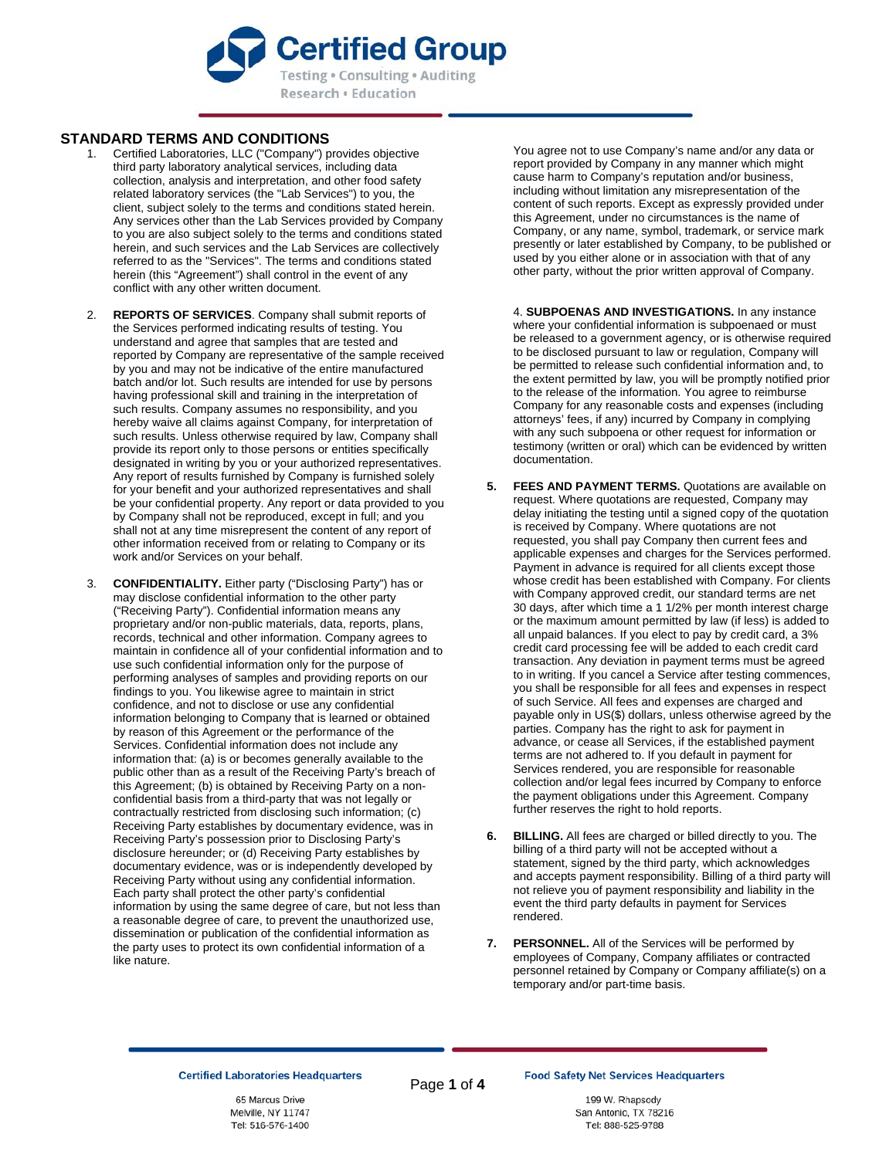

## **STANDARD TERMS AND CONDITIONS**

- Certified Laboratories, LLC ("Company") provides objective third party laboratory analytical services, including data collection, analysis and interpretation, and other food safety related laboratory services (the "Lab Services") to you, the client, subject solely to the terms and conditions stated herein. Any services other than the Lab Services provided by Company to you are also subject solely to the terms and conditions stated herein, and such services and the Lab Services are collectively referred to as the "Services". The terms and conditions stated herein (this "Agreement") shall control in the event of any conflict with any other written document.
- 2. **REPORTS OF SERVICES**. Company shall submit reports of the Services performed indicating results of testing. You understand and agree that samples that are tested and reported by Company are representative of the sample received by you and may not be indicative of the entire manufactured batch and/or lot. Such results are intended for use by persons having professional skill and training in the interpretation of such results. Company assumes no responsibility, and you hereby waive all claims against Company, for interpretation of such results. Unless otherwise required by law, Company shall provide its report only to those persons or entities specifically designated in writing by you or your authorized representatives. Any report of results furnished by Company is furnished solely for your benefit and your authorized representatives and shall be your confidential property. Any report or data provided to you by Company shall not be reproduced, except in full; and you shall not at any time misrepresent the content of any report of other information received from or relating to Company or its work and/or Services on your behalf.
- 3. **CONFIDENTIALITY.** Either party ("Disclosing Party") has or may disclose confidential information to the other party ("Receiving Party"). Confidential information means any proprietary and/or non-public materials, data, reports, plans, records, technical and other information. Company agrees to maintain in confidence all of your confidential information and to use such confidential information only for the purpose of performing analyses of samples and providing reports on our findings to you. You likewise agree to maintain in strict confidence, and not to disclose or use any confidential information belonging to Company that is learned or obtained by reason of this Agreement or the performance of the Services. Confidential information does not include any information that: (a) is or becomes generally available to the public other than as a result of the Receiving Party's breach of this Agreement; (b) is obtained by Receiving Party on a nonconfidential basis from a third-party that was not legally or contractually restricted from disclosing such information; (c) Receiving Party establishes by documentary evidence, was in Receiving Party's possession prior to Disclosing Party's disclosure hereunder; or (d) Receiving Party establishes by documentary evidence, was or is independently developed by Receiving Party without using any confidential information. Each party shall protect the other party's confidential information by using the same degree of care, but not less than a reasonable degree of care, to prevent the unauthorized use, dissemination or publication of the confidential information as the party uses to protect its own confidential information of a like nature.

You agree not to use Company's name and/or any data or report provided by Company in any manner which might cause harm to Company's reputation and/or business, including without limitation any misrepresentation of the content of such reports. Except as expressly provided under this Agreement, under no circumstances is the name of Company, or any name, symbol, trademark, or service mark presently or later established by Company, to be published or used by you either alone or in association with that of any other party, without the prior written approval of Company.

4. **SUBPOENAS AND INVESTIGATIONS.** In any instance where your confidential information is subpoenaed or must be released to a government agency, or is otherwise required to be disclosed pursuant to law or regulation, Company will be permitted to release such confidential information and, to the extent permitted by law, you will be promptly notified prior to the release of the information. You agree to reimburse Company for any reasonable costs and expenses (including attorneys' fees, if any) incurred by Company in complying with any such subpoena or other request for information or testimony (written or oral) which can be evidenced by written documentation.

- **5. FEES AND PAYMENT TERMS.** Quotations are available on request. Where quotations are requested, Company may delay initiating the testing until a signed copy of the quotation is received by Company. Where quotations are not requested, you shall pay Company then current fees and applicable expenses and charges for the Services performed. Payment in advance is required for all clients except those whose credit has been established with Company. For clients with Company approved credit, our standard terms are net 30 days, after which time a 1 1/2% per month interest charge or the maximum amount permitted by law (if less) is added to all unpaid balances. If you elect to pay by credit card, a 3% credit card processing fee will be added to each credit card transaction. Any deviation in payment terms must be agreed to in writing. If you cancel a Service after testing commences, you shall be responsible for all fees and expenses in respect of such Service. All fees and expenses are charged and payable only in US(\$) dollars, unless otherwise agreed by the parties. Company has the right to ask for payment in advance, or cease all Services, if the established payment terms are not adhered to. If you default in payment for Services rendered, you are responsible for reasonable collection and/or legal fees incurred by Company to enforce the payment obligations under this Agreement. Company further reserves the right to hold reports.
- **6. BILLING.** All fees are charged or billed directly to you. The billing of a third party will not be accepted without a statement, signed by the third party, which acknowledges and accepts payment responsibility. Billing of a third party will not relieve you of payment responsibility and liability in the event the third party defaults in payment for Services rendered.
- **7. PERSONNEL.** All of the Services will be performed by employees of Company, Company affiliates or contracted personnel retained by Company or Company affiliate(s) on a temporary and/or part-time basis.

**Certified Laboratories Headquarters** 

65 Marcus Drive Melville, NY 11747 Tel: 516-576-1400 Page **1** of **4**

199 W. Rhapsody San Antonio, TX 78216 Tel: 888-525-9788

**Food Safety Net Services Headquarters**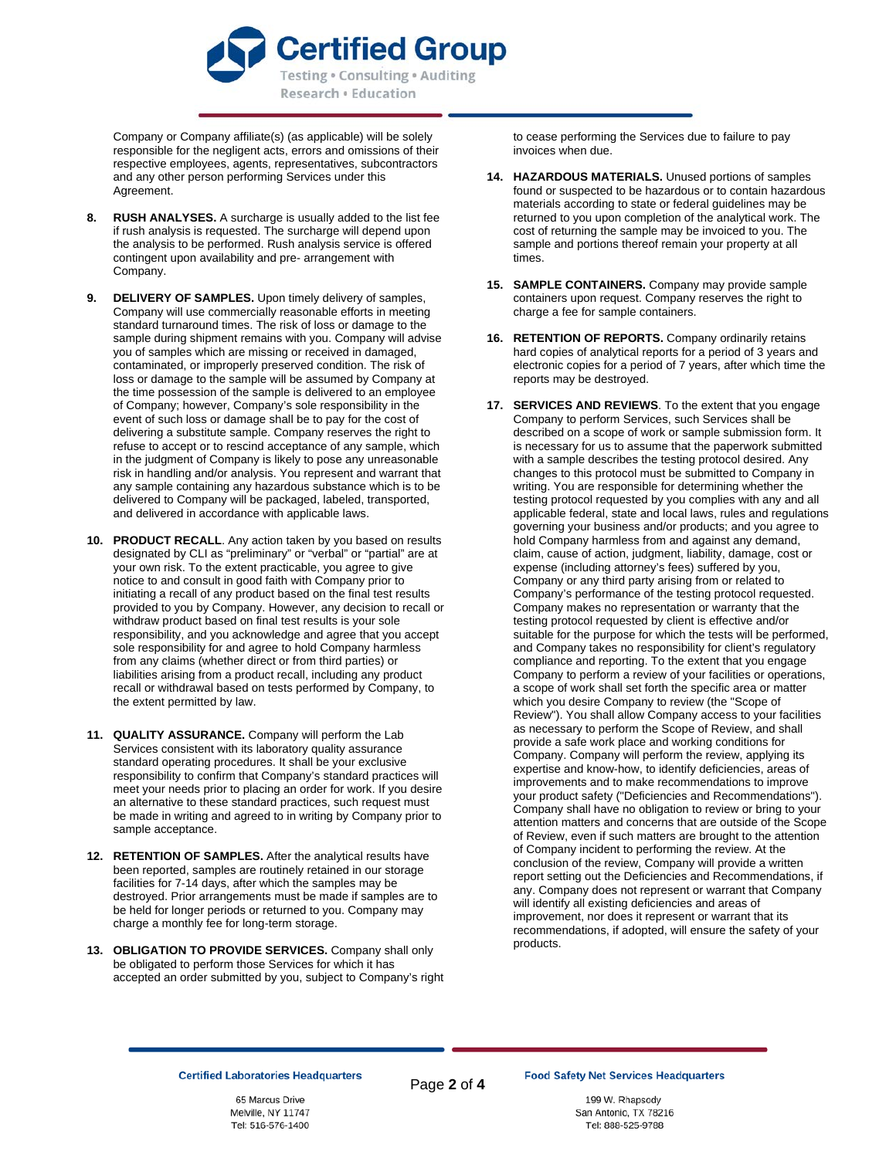

Company or Company affiliate(s) (as applicable) will be solely responsible for the negligent acts, errors and omissions of their respective employees, agents, representatives, subcontractors and any other person performing Services under this Agreement.

- **8. RUSH ANALYSES.** A surcharge is usually added to the list fee if rush analysis is requested. The surcharge will depend upon the analysis to be performed. Rush analysis service is offered contingent upon availability and pre- arrangement with Company.
- **9. DELIVERY OF SAMPLES.** Upon timely delivery of samples, Company will use commercially reasonable efforts in meeting standard turnaround times. The risk of loss or damage to the sample during shipment remains with you. Company will advise you of samples which are missing or received in damaged, contaminated, or improperly preserved condition. The risk of loss or damage to the sample will be assumed by Company at the time possession of the sample is delivered to an employee of Company; however, Company's sole responsibility in the event of such loss or damage shall be to pay for the cost of delivering a substitute sample. Company reserves the right to refuse to accept or to rescind acceptance of any sample, which in the judgment of Company is likely to pose any unreasonable risk in handling and/or analysis. You represent and warrant that any sample containing any hazardous substance which is to be delivered to Company will be packaged, labeled, transported, and delivered in accordance with applicable laws.
- **10. PRODUCT RECALL**. Any action taken by you based on results designated by CLI as "preliminary" or "verbal" or "partial" are at your own risk. To the extent practicable, you agree to give notice to and consult in good faith with Company prior to initiating a recall of any product based on the final test results provided to you by Company. However, any decision to recall or withdraw product based on final test results is your sole responsibility, and you acknowledge and agree that you accept sole responsibility for and agree to hold Company harmless from any claims (whether direct or from third parties) or liabilities arising from a product recall, including any product recall or withdrawal based on tests performed by Company, to the extent permitted by law.
- **11. QUALITY ASSURANCE.** Company will perform the Lab Services consistent with its laboratory quality assurance standard operating procedures. It shall be your exclusive responsibility to confirm that Company's standard practices will meet your needs prior to placing an order for work. If you desire an alternative to these standard practices, such request must be made in writing and agreed to in writing by Company prior to sample acceptance.
- **12. RETENTION OF SAMPLES.** After the analytical results have been reported, samples are routinely retained in our storage facilities for 7-14 days, after which the samples may be destroyed. Prior arrangements must be made if samples are to be held for longer periods or returned to you. Company may charge a monthly fee for long-term storage.
- **13. OBLIGATION TO PROVIDE SERVICES.** Company shall only be obligated to perform those Services for which it has accepted an order submitted by you, subject to Company's right

to cease performing the Services due to failure to pay invoices when due.

- **14. HAZARDOUS MATERIALS.** Unused portions of samples found or suspected to be hazardous or to contain hazardous materials according to state or federal guidelines may be returned to you upon completion of the analytical work. The cost of returning the sample may be invoiced to you. The sample and portions thereof remain your property at all times.
- **15. SAMPLE CONTAINERS.** Company may provide sample containers upon request. Company reserves the right to charge a fee for sample containers.
- 16. **RETENTION OF REPORTS.** Company ordinarily retains hard copies of analytical reports for a period of 3 years and electronic copies for a period of 7 years, after which time the reports may be destroyed.
- **17. SERVICES AND REVIEWS**. To the extent that you engage Company to perform Services, such Services shall be described on a scope of work or sample submission form. It is necessary for us to assume that the paperwork submitted with a sample describes the testing protocol desired. Any changes to this protocol must be submitted to Company in writing. You are responsible for determining whether the testing protocol requested by you complies with any and all applicable federal, state and local laws, rules and regulations governing your business and/or products; and you agree to hold Company harmless from and against any demand, claim, cause of action, judgment, liability, damage, cost or expense (including attorney's fees) suffered by you, Company or any third party arising from or related to Company's performance of the testing protocol requested. Company makes no representation or warranty that the testing protocol requested by client is effective and/or suitable for the purpose for which the tests will be performed, and Company takes no responsibility for client's regulatory compliance and reporting. To the extent that you engage Company to perform a review of your facilities or operations, a scope of work shall set forth the specific area or matter which you desire Company to review (the "Scope of Review"). You shall allow Company access to your facilities as necessary to perform the Scope of Review, and shall provide a safe work place and working conditions for Company. Company will perform the review, applying its expertise and know-how, to identify deficiencies, areas of improvements and to make recommendations to improve your product safety ("Deficiencies and Recommendations"). Company shall have no obligation to review or bring to your attention matters and concerns that are outside of the Scope of Review, even if such matters are brought to the attention of Company incident to performing the review. At the conclusion of the review, Company will provide a written report setting out the Deficiencies and Recommendations, if any. Company does not represent or warrant that Company will identify all existing deficiencies and areas of improvement, nor does it represent or warrant that its recommendations, if adopted, will ensure the safety of your products.

## **Certified Laboratories Headquarters**

65 Marcus Drive Melville, NY 11747 Tel: 516-576-1400

199 W. Rhapsody San Antonio, TX 78216 Tel: 888-525-9788

**Food Safety Net Services Headquarters**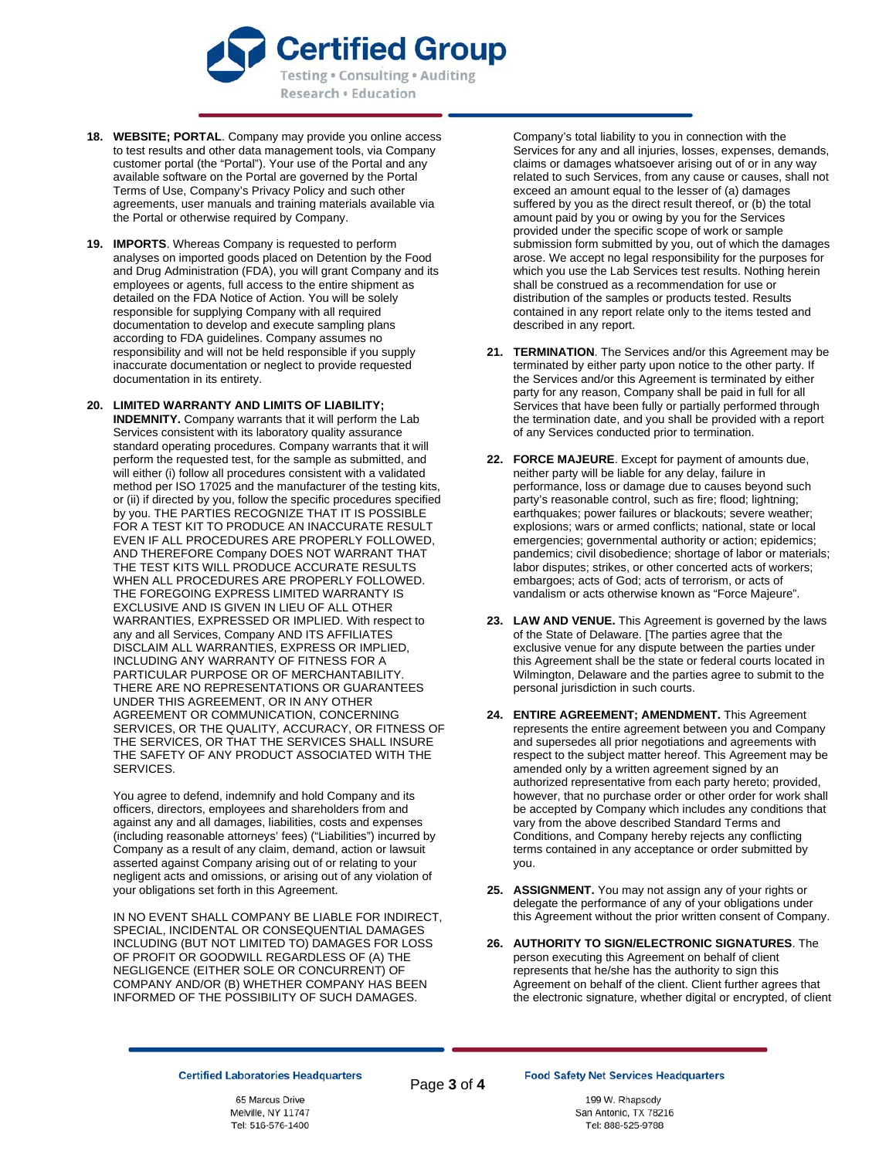

- **18. WEBSITE; PORTAL**. Company may provide you online access to test results and other data management tools, via Company customer portal (the "Portal"). Your use of the Portal and any available software on the Portal are governed by the Portal Terms of Use, Company's Privacy Policy and such other agreements, user manuals and training materials available via the Portal or otherwise required by Company.
- **19. IMPORTS**. Whereas Company is requested to perform analyses on imported goods placed on Detention by the Food and Drug Administration (FDA), you will grant Company and its employees or agents, full access to the entire shipment as detailed on the FDA Notice of Action. You will be solely responsible for supplying Company with all required documentation to develop and execute sampling plans according to FDA guidelines. Company assumes no responsibility and will not be held responsible if you supply inaccurate documentation or neglect to provide requested documentation in its entirety.
- **20. LIMITED WARRANTY AND LIMITS OF LIABILITY; INDEMNITY.** Company warrants that it will perform the Lab Services consistent with its laboratory quality assurance standard operating procedures. Company warrants that it will perform the requested test, for the sample as submitted, and will either (i) follow all procedures consistent with a validated method per ISO 17025 and the manufacturer of the testing kits, or (ii) if directed by you, follow the specific procedures specified by you. THE PARTIES RECOGNIZE THAT IT IS POSSIBLE FOR A TEST KIT TO PRODUCE AN INACCURATE RESULT EVEN IF ALL PROCEDURES ARE PROPERLY FOLLOWED, AND THEREFORE Company DOES NOT WARRANT THAT THE TEST KITS WILL PRODUCE ACCURATE RESULTS WHEN ALL PROCEDURES ARE PROPERLY FOLLOWED. THE FOREGOING EXPRESS LIMITED WARRANTY IS EXCLUSIVE AND IS GIVEN IN LIEU OF ALL OTHER WARRANTIES, EXPRESSED OR IMPLIED. With respect to any and all Services, Company AND ITS AFFILIATES DISCLAIM ALL WARRANTIES, EXPRESS OR IMPLIED, INCLUDING ANY WARRANTY OF FITNESS FOR A PARTICULAR PURPOSE OR OF MERCHANTABILITY. THERE ARE NO REPRESENTATIONS OR GUARANTEES UNDER THIS AGREEMENT, OR IN ANY OTHER AGREEMENT OR COMMUNICATION, CONCERNING SERVICES, OR THE QUALITY, ACCURACY, OR FITNESS OF THE SERVICES, OR THAT THE SERVICES SHALL INSURE THE SAFETY OF ANY PRODUCT ASSOCIATED WITH THE SERVICES.

You agree to defend, indemnify and hold Company and its officers, directors, employees and shareholders from and against any and all damages, liabilities, costs and expenses (including reasonable attorneys' fees) ("Liabilities") incurred by Company as a result of any claim, demand, action or lawsuit asserted against Company arising out of or relating to your negligent acts and omissions, or arising out of any violation of your obligations set forth in this Agreement.

IN NO EVENT SHALL COMPANY BE LIABLE FOR INDIRECT, SPECIAL, INCIDENTAL OR CONSEQUENTIAL DAMAGES INCLUDING (BUT NOT LIMITED TO) DAMAGES FOR LOSS OF PROFIT OR GOODWILL REGARDLESS OF (A) THE NEGLIGENCE (EITHER SOLE OR CONCURRENT) OF COMPANY AND/OR (B) WHETHER COMPANY HAS BEEN INFORMED OF THE POSSIBILITY OF SUCH DAMAGES.

Company's total liability to you in connection with the Services for any and all injuries, losses, expenses, demands, claims or damages whatsoever arising out of or in any way related to such Services, from any cause or causes, shall not exceed an amount equal to the lesser of (a) damages suffered by you as the direct result thereof, or (b) the total amount paid by you or owing by you for the Services provided under the specific scope of work or sample submission form submitted by you, out of which the damages arose. We accept no legal responsibility for the purposes for which you use the Lab Services test results. Nothing herein shall be construed as a recommendation for use or distribution of the samples or products tested. Results contained in any report relate only to the items tested and described in any report.

- **21. TERMINATION**. The Services and/or this Agreement may be terminated by either party upon notice to the other party. If the Services and/or this Agreement is terminated by either party for any reason, Company shall be paid in full for all Services that have been fully or partially performed through the termination date, and you shall be provided with a report of any Services conducted prior to termination.
- **22. FORCE MAJEURE**. Except for payment of amounts due, neither party will be liable for any delay, failure in performance, loss or damage due to causes beyond such party's reasonable control, such as fire; flood; lightning; earthquakes; power failures or blackouts; severe weather; explosions; wars or armed conflicts; national, state or local emergencies; governmental authority or action; epidemics; pandemics; civil disobedience; shortage of labor or materials; labor disputes; strikes, or other concerted acts of workers; embargoes; acts of God; acts of terrorism, or acts of vandalism or acts otherwise known as "Force Majeure".
- **23. LAW AND VENUE.** This Agreement is governed by the laws of the State of Delaware. [The parties agree that the exclusive venue for any dispute between the parties under this Agreement shall be the state or federal courts located in Wilmington, Delaware and the parties agree to submit to the personal jurisdiction in such courts.
- **24. ENTIRE AGREEMENT; AMENDMENT.** This Agreement represents the entire agreement between you and Company and supersedes all prior negotiations and agreements with respect to the subject matter hereof. This Agreement may be amended only by a written agreement signed by an authorized representative from each party hereto; provided, however, that no purchase order or other order for work shall be accepted by Company which includes any conditions that vary from the above described Standard Terms and Conditions, and Company hereby rejects any conflicting terms contained in any acceptance or order submitted by you.
- **25. ASSIGNMENT.** You may not assign any of your rights or delegate the performance of any of your obligations under this Agreement without the prior written consent of Company.
- **26. AUTHORITY TO SIGN/ELECTRONIC SIGNATURES**. The person executing this Agreement on behalf of client represents that he/she has the authority to sign this Agreement on behalf of the client. Client further agrees that the electronic signature, whether digital or encrypted, of client

## **Certified Laboratories Headquarters**

65 Marcus Drive Melville, NY 11747 Tel: 516-576-1400 Page **3** of **4**

199 W. Rhapsody San Antonio, TX 78216 Tel: 888-525-9788

**Food Safety Net Services Headquarters**